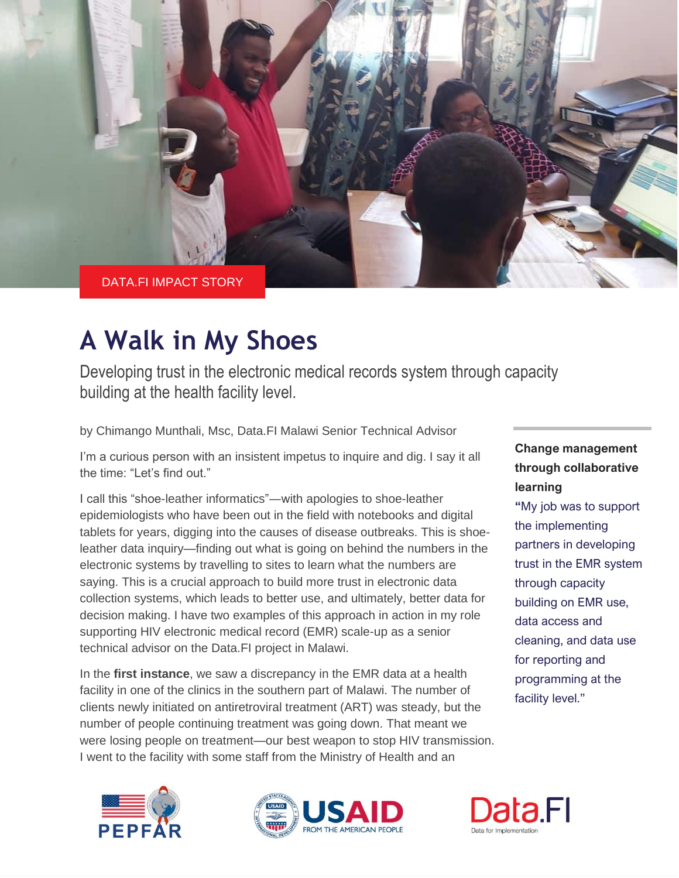

## **A Walk in My Shoes**

Developing trust in the electronic medical records system through capacity building at the health facility level.

by Chimango Munthali, Msc, Data.FI Malawi Senior Technical Advisor

I'm a curious person with an insistent impetus to inquire and dig. I say it all the time: "Let's find out."

I call this "shoe-leather informatics"―with apologies to shoe-leather epidemiologists who have been out in the field with notebooks and digital tablets for years, digging into the causes of disease outbreaks. This is shoeleather data inquiry—finding out what is going on behind the numbers in the electronic systems by travelling to sites to learn what the numbers are saying. This is a crucial approach to build more trust in electronic data collection systems, which leads to better use, and ultimately, better data for decision making. I have two examples of this approach in action in my role supporting HIV electronic medical record (EMR) scale-up as a senior technical advisor on the Data.FI project in Malawi.

In the **first instance**, we saw a discrepancy in the EMR data at a health facility in one of the clinics in the southern part of Malawi. The number of clients newly initiated on antiretroviral treatment (ART) was steady, but the number of people continuing treatment was going down. That meant we were losing people on treatment—our best weapon to stop HIV transmission. I went to the facility with some staff from the Ministry of Health and an





## **Change management through collaborative learning**

**"**My job was to support the implementing partners in developing trust in the EMR system through capacity building on EMR use, data access and cleaning, and data use for reporting and programming at the facility level."

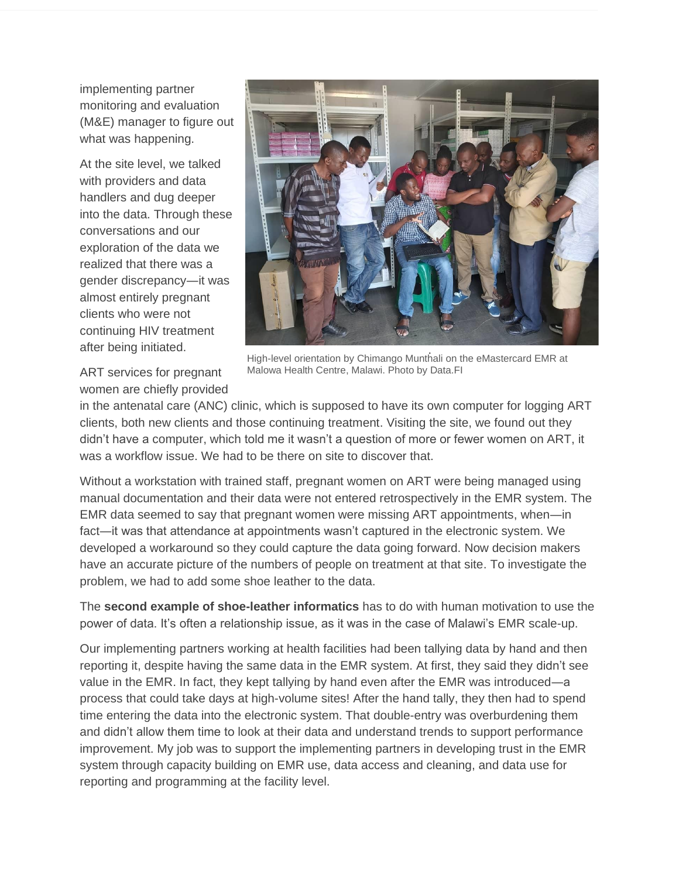implementing partner monitoring and evaluation (M&E) manager to figure out what was happening.

At the site level, we talked with providers and data handlers and dug deeper into the data. Through these conversations and our exploration of the data we realized that there was a gender discrepancy―it was almost entirely pregnant clients who were not continuing HIV treatment after being initiated.

ART services for pregnant women are chiefly provided



High-level orientation by Chimango Munthali on the eMastercard EMR at Malowa Health Centre, Malawi. Photo by Data.FI

in the antenatal care (ANC) clinic, which is supposed to have its own computer for logging ART clients, both new clients and those continuing treatment. Visiting the site, we found out they didn't have a computer, which told me it wasn't a question of more or fewer women on ART, it was a workflow issue. We had to be there on site to discover that.

Without a workstation with trained staff, pregnant women on ART were being managed using manual documentation and their data were not entered retrospectively in the EMR system. The EMR data seemed to say that pregnant women were missing ART appointments, when―in fact—it was that attendance at appointments wasn't captured in the electronic system. We developed a workaround so they could capture the data going forward. Now decision makers have an accurate picture of the numbers of people on treatment at that site. To investigate the problem, we had to add some shoe leather to the data.

The **second example of shoe-leather informatics** has to do with human motivation to use the power of data. It's often a relationship issue, as it was in the case of Malawi's EMR scale-up.

Our implementing partners working at health facilities had been tallying data by hand and then reporting it, despite having the same data in the EMR system. At first, they said they didn't see value in the EMR. In fact, they kept tallying by hand even after the EMR was introduced―a process that could take days at high-volume sites! After the hand tally, they then had to spend time entering the data into the electronic system. That double-entry was overburdening them and didn't allow them time to look at their data and understand trends to support performance improvement. My job was to support the implementing partners in developing trust in the EMR system through capacity building on EMR use, data access and cleaning, and data use for reporting and programming at the facility level.